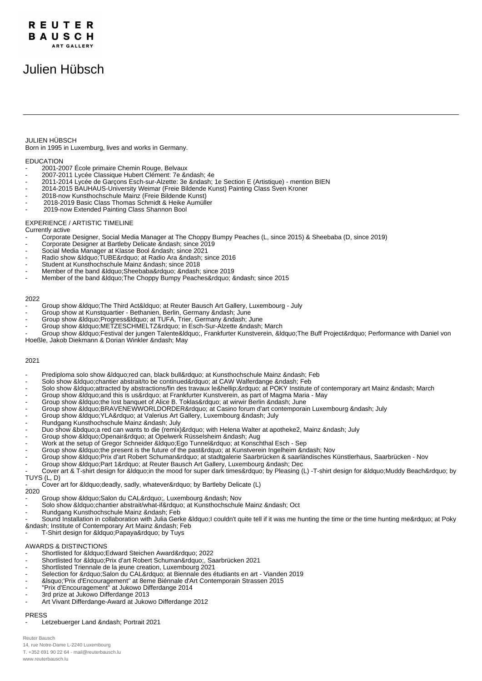# REUTER BAUSCH **ART GALLER**

# Julien Hübsch

### JULIEN HÜBSCH

Born in 1995 in Luxemburg, lives and works in Germany.

#### EDUCATION

- 2001-2007 École primaire Chemin Rouge, Belvaux
- 2007-2011 Lycée Classique Hubert Clément: 7e &ndash: 4e
- 2011-2014 Lycée de Garçons Esch-sur-Alzette: 3e 1e Section E (Artistique) mention BIEN
- 2014-2015 BAUHAUS-University Weimar (Freie Bildende Kunst) Painting Class Sven Kroner
- 2018-now Kunsthochschule Mainz (Freie Bildende Kunst)
- 2018-2019 Basic Class Thomas Schmidt & Heike Aumüller
- 2019-now Extended Painting Class Shannon Bool

#### EXPERIENCE / ARTISTIC TIMELINE

Currently active

- Corporate Designer, Social Media Manager at The Choppy Bumpy Peaches (L, since 2015) & Sheebaba (D, since 2019)
- Corporate Designer at Bartleby Delicate since 2019
- Social Media Manager at Klasse Bool since 2021
- Radio show " TUBE" at Radio Ara since 2016
- Student at Kunsthochschule Mainz since 2018
- Member of the band " Sheebaba" since 2019
- Member of the band " The Choppy Bumpy Peaches" since 2015

#### 2022

Group show &Idquo; The Third Act&Idquo; at Reuter Bausch Art Gallery, Luxembourg - July

- Group show at Kunstquartier Bethanien, Berlin, Germany &ndash, June
- Group show "Progress" at TUFA, Trier, Germany June
- Group show "METZESCHMELTZ" in Esch-Sur-Alzette March
- Group show " Festival der jungen Talente", Frankfurter Kunstverein, " The Buff Project" Performance with Daniel von Hoeßle, Jakob Diekmann & Dorian Winkler – May

#### 2021

- Prediploma solo show "red can, black bull" at Kunsthochschule Mainz Feb
- Solo show & dquo: chantier abstrait/to be continued" at CAW Walferdange & ndash: Feb
- Solo show & dquo;attracted by abstractions/fin des travaux le…" at POKY Institute of contemporary art Mainz March
- Group show "and this is us" at Frankfurter Kunstverein, as part of Magma Maria May
- Group show " the lost banquet of Alice B. Toklas" at wirwir Berlin June
- Group show &Idquo;BRAVENEWWORLDORDER" at Casino forum d'art contemporain Luxembourg July
- Group show "YLA" at Valerius Art Gallery, Luxembourg July
- Rundgang Kunsthochschule Mainz July
- Duo show "a red can wants to die (remix)" with Helena Walter at apotheke2, Mainz July
- Group show "Openair" at Opelwerk Rüsselsheim Aug
- Work at the setup of Gregor Schneider " Ego Tunnel " at Konschthal Esch Sep
- Group show "the present is the future of the past" at Kunstverein Ingelheim Nov
- Group show "Prix d'art Robert Schuman" at stadtgalerie Saarbrücken & saarländisches Künstlerhaus, Saarbrücken Nov
- Group show "Part 1" at Reuter Bausch Art Gallery, Luxembourg Dec
- Cover art & T-shirt design for "in the mood for super dark times" by Pleasing (L) -T-shirt design for "Muddy Beach" by TUYS (L, D)

Cover art for &Idquo; deadly, sadly, whatever" by Bartleby Delicate (L)

# 2020

- Group show " Salon du CAL", Luxembourg Nov
- Solo show " chantier abstrait/what-if" at Kunsthochschule Mainz Oct
- Rundgang Kunsthochschule Mainz & ndash, Feb
- Sound Installation in collaboration with Julia Gerke &Idquo;I couldn't quite tell if it was me hunting the time or the time hunting me" at Poky – Institute of Contemporary Art Mainz – Feb
- T-Shirt design for " Papaya" by Tuys

## AWARDS & DISTINCTIONS

- Shortlisted for " Edward Steichen Award" 2022
- Shortlisted for " Prix d'art Robert Schuman", Saarbrücken 2021
- Shortlisted Triennale de la jeune creation, Luxembourg 2021
- Selection for " Salon du CAL" at Biennale des étudiants en art Vianden 2019
- 8 Isquo; 'Prix d'Encouragement'' at 8eme Biénnale d'Art Contemporain Strassen 2015
- "Prix d'Encouragement" at Jukowo Differdange 2014
- 3rd prize at Jukowo Differdange 2013
- Art Vivant Differdange-Award at Jukowo Differdange 2012

## PRESS

Letzebuerger Land – Portrait 2021

Reuter Bausch 14, rue Notre-Dame L-2240 Luxembourg T. +352 691 90 22 64 - mail@reuterbausch.lu www.reuterbausch.lu